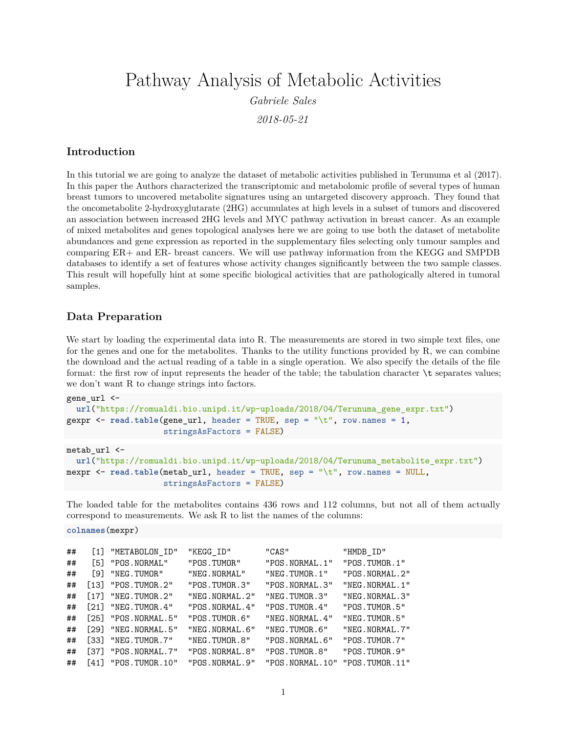Pathway Analysis of Metabolic Activities

*Gabriele Sales*

*2018-05-21*

#### **Introduction**

In this tutorial we are going to analyze the dataset of metabolic activities published in [Terunuma et al \(2017\).](https://www.ncbi.nlm.nih.gov/pubmed/24316975) In this paper the Authors characterized the transcriptomic and metabolomic profile of several types of human breast tumors to uncovered metabolite signatures using an untargeted discovery approach. They found that the oncometabolite 2-hydroxyglutarate (2HG) accumulates at high levels in a subset of tumors and discovered an association between increased 2HG levels and MYC pathway activation in breast cancer. As an example of mixed metabolites and genes topological analyses here we are going to use both the dataset of metabolite abundances and gene expression as reported in the [supplementary files](https://www.jci.org/articles/view/71180#sd) selecting only tumour samples and comparing ER+ and ER- breast cancers. We will use pathway information from the KEGG and SMPDB databases to identify a set of features whose activity changes significantly between the two sample classes. This result will hopefully hint at some specific biological activities that are pathologically altered in tumoral samples.

#### **Data Preparation**

We start by loading the experimental data into R. The measurements are stored in two simple text files, one for the genes and one for the metabolites. Thanks to the utility functions provided by R, we can combine the download and the actual reading of a table in a single operation. We also specify the details of the file format: the first row of input represents the header of the table; the tabulation character  $\setminus t$  separates values; we don't want R to change strings into factors.

```
gene_url <-
 url("https://romualdi.bio.unipd.it/wp-uploads/2018/04/Terunuma_gene_expr.txt")
gexpr <- read.table(gene_url, header = TRUE, sep = "\t", row.names = 1,
                    stringsAsFactors = FALSE)
metab_url <-
  url("https://romualdi.bio.unipd.it/wp-uploads/2018/04/Terunuma_metabolite_expr.txt")
mexpr <- read.table(metab url, header = TRUE, sep = "\t", row.names = NULL,
```

```
stringsAsFactors = FALSE)
```
The loaded table for the metabolites contains 436 rows and 112 columns, but not all of them actually correspond to measurements. We ask R to list the names of the columns:

**colnames**(mexpr)

| ## |     | [1] "METABOLON_ID"        | "KEGG_ID"        | "CAS"                              | "HMDB ID"        |
|----|-----|---------------------------|------------------|------------------------------------|------------------|
| ## |     | [5] "POS.NORMAL"          | "POS.TUMOR"      | "POS. NORMAL. 1"                   | "POS.TUMOR.1"    |
| ## | [9] | "NEG.TUMOR"               | "NEG. NORMAL"    | "NEG.TUMOR.1"                      | "POS. NORMAL. 2" |
| ## |     | $[13]$ "POS.TUMOR.2"      | "POS.TUMOR.3"    | "POS. NORMAL.3"                    | "NEG.NORMAL.1"   |
| ## |     | $[17]$ "NEG.TUMOR.2"      | "NEG. NORMAL. 2" | "NEG.TUMOR.3"                      | "NEG. NORMAL.3"  |
| ## |     | $[21]$ "NEG.TUMOR.4"      | "POS. NORMAL. 4" | "POS.TUMOR.4"                      | "POS.TUMOR.5"    |
| ## |     | $[25]$ "POS. NORMAL. $5"$ | "POS.TUMOR.6"    | "NEG. NORMAL. 4"                   | "NEG.TUMOR.5"    |
| ## |     | [29] "NEG.NORMAL.5"       | "NEG. NORMAL. 6" | "NEG.TUMOR.6"                      | "NEG. NORMAL. 7" |
| ## |     | $[33]$ "NEG.TUMOR.7"      | "NEG.TUMOR.8"    | "POS. NORMAL. 6"                   | "POS.TUMOR.7"    |
| ## |     | $[37]$ "POS. NORMAL. $7"$ | "POS. NORMAL.8"  | "POS.TUMOR.8"                      | "POS.TUMOR.9"    |
| ## |     | $[41]$ "POS.TUMOR.10"     | "POS. NORMAL. 9" | "POS. NORMAL. 10" "POS. TUMOR. 11" |                  |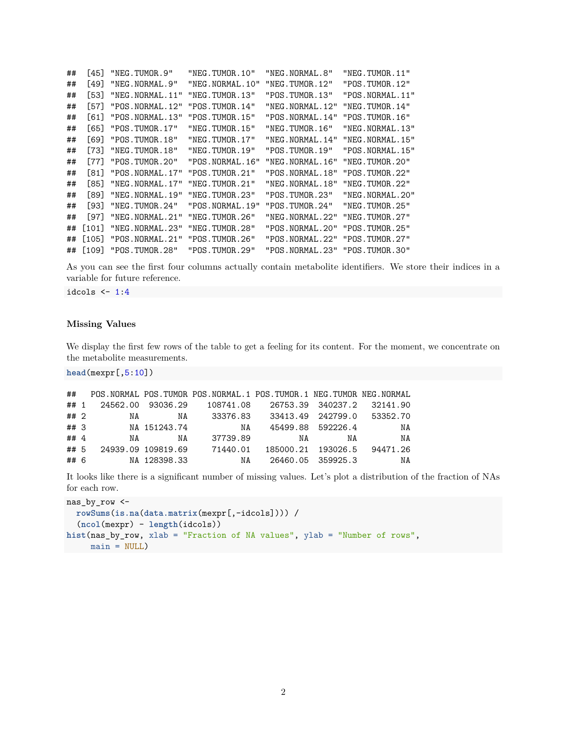| ## | [45]                | "NEG.TUMOR.9"           | "NEG.TUMOR.10"   | "NEG.NORMAL.8"                 | "NEG.TUMOR.11"    |
|----|---------------------|-------------------------|------------------|--------------------------------|-------------------|
| ## | [49]                | "NEG. NORMAL. 9"        | "NEG.NORMAL.10"  | "NEG.TUMOR.12"                 | "POS.TUMOR.12"    |
| ## | [53]                | "NEG.NORMAL.11"         | "NEG.TUMOR.13"   | "POS.TUMOR.13"                 | "POS.NORMAL.11"   |
| ## | [57]                | "POS. NORMAL. 12"       | "POS.TUMOR.14"   | "NEG. NORMAL. 12"              | "NEG.TUMOR.14"    |
| ## | [61]                | "POS.NORMAL.13"         | "POS.TUMOR.15"   | "POS. NORMAL. 14"              | "POS. TUMOR. 16"  |
| ## | 1651                | "POS.TUMOR.17"          | "NEG.TUMOR.15"   | "NEG.TUMOR.16"                 | "NEG. NORMAL. 13" |
| ## |                     | [69] "POS.TUMOR.18"     | "NEG.TUMOR.17"   | "NEG.NORMAL.14"                | "NEG. NORMAL. 15" |
| ## | [73]                | "NEG.TUMOR.18"          | "NEG.TUMOR.19"   | "POS.TUMOR.19"                 | "POS.NORMAL.15"   |
| ## | [77]                | "POS.TUMOR.20"          | "POS.NORMAL.16"  | "NEG. NORMAL. 16"              | "NEG.TUMOR.20"    |
| ## | [81]                | "POS.NORMAL.17"         | "POS.TUMOR.21"   | "POS.NORMAL.18"                | "POS.TUMOR.22"    |
| ## | F851.               | "NEG. NORMAL. 17"       | "NEG.TUMOR.21"   | "NEG.NORMAL.18"                | "NEG.TUMOR.22"    |
| ## |                     | [89] "NEG.NORMAL.19"    | "NEG. TUMOR. 23" | "POS.TUMOR.23"                 | "NEG. NORMAL. 20" |
| ## | [93]                | "NEG.TUMOR.24"          | "POS.NORMAL.19"  | "POS.TUMOR.24"                 | "NEG.TUMOR.25"    |
| ## | [97]                | "NEG.NORMAL.21"         | "NEG.TUMOR.26"   | "NEG. NORMAL. 22"              | "NEG.TUMOR.27"    |
| ## | $\lceil 101 \rceil$ | "NEG.NORMAL.23"         | "NEG.TUMOR.28"   | "POS.NORMAL.20"                | "POS.TUMOR.25"    |
| ## |                     | [105] "POS.NORMAL.21"   | "POS.TUMOR.26"   | "POS.NORMAL.22"                | "POS.TUMOR.27"    |
|    |                     | ## [109] "POS.TUMOR.28" | "POS. TUMOR. 29" | "POS.NORMAL.23" "POS.TUMOR.30" |                   |

As you can see the first four columns actually contain metabolite identifiers. We store their indices in a variable for future reference.

idcols  $\leftarrow$  1:4

#### **Missing Values**

We display the first few rows of the table to get a feeling for its content. For the moment, we concentrate on the metabolite measurements.

**head**(mexpr[,5:10])

| ##   |    |                    | POS. NORMAL POS. TUMOR POS. NORMAL. 1 POS. TUMOR. 1 NEG. TUMOR NEG. NORMAL |    |                    |          |
|------|----|--------------------|----------------------------------------------------------------------------|----|--------------------|----------|
| ## 1 |    | 24562.00 93036.29  | 108741.08                                                                  |    | 26753.39 340237.2  | 32141.90 |
| ##2  | NA | NA                 | 33376.83                                                                   |    | 33413.49 242799.0  | 53352.70 |
| ##3  |    | NA 151243.74       | NA                                                                         |    | 45499.88 592226.4  | NA       |
| ## 4 | NA | NA                 | 37739.89                                                                   | NA | NA                 | NA       |
| ## 5 |    | 24939.09 109819.69 | 71440.01                                                                   |    | 185000.21 193026.5 | 94471.26 |
| ## 6 |    | NA 128398.33       | NA                                                                         |    | 26460.05 359925.3  | NA       |

It looks like there is a significant number of missing values. Let's plot a distribution of the fraction of NAs for each row.

```
nas_by_row <-
  rowSums(is.na(data.matrix(mexpr[,-idcols]))) /
  (ncol(mexpr) - length(idcols))
hist(nas_by_row, xlab = "Fraction of NA values", ylab = "Number of rows",
    main = NULL
```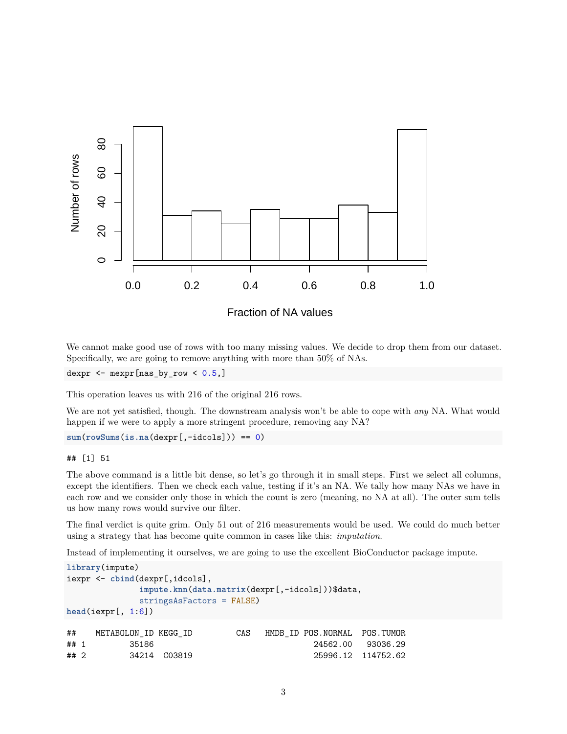

Fraction of NA values

We cannot make good use of rows with too many missing values. We decide to drop them from our dataset. Specifically, we are going to remove anything with more than 50% of NAs.

dexpr  $\leq$  mexpr[nas\_by\_row  $\leq$  0.5,]

This operation leaves us with 216 of the original 216 rows.

We are not yet satisfied, though. The downstream analysis won't be able to cope with *any* NA. What would happen if we were to apply a more stringent procedure, removing any NA?

```
sum(rowSums(is.na(dexpr[,-idcols])) == 0)
```
#### ## [1] 51

The above command is a little bit dense, so let's go through it in small steps. First we select all columns, except the identifiers. Then we check each value, testing if it's an NA. We tally how many NAs we have in each row and we consider only those in which the count is zero (meaning, no NA at all). The outer sum tells us how many rows would survive our filter.

The final verdict is quite grim. Only 51 out of 216 measurements would be used. We could do much better using a strategy that has become quite common in cases like this: *imputation*.

Instead of implementing it ourselves, we are going to use the excellent BioConductor package [impute.](http://www.bioconductor.org/packages/release/bioc/html/impute.html)

```
library(impute)
iexpr <- cbind(dexpr[,idcols],
           impute.knn(data.matrix(dexpr[,-idcols]))$data,
           stringsAsFactors = FALSE)
head(iexpr[, 1:6])
## METABOLON ID KEGG ID CAS HMDB ID POS.NORMAL POS.TUMOR
## 1 35186 24562.00 93036.29
## 2 34214 C03819 25996.12 114752.62
```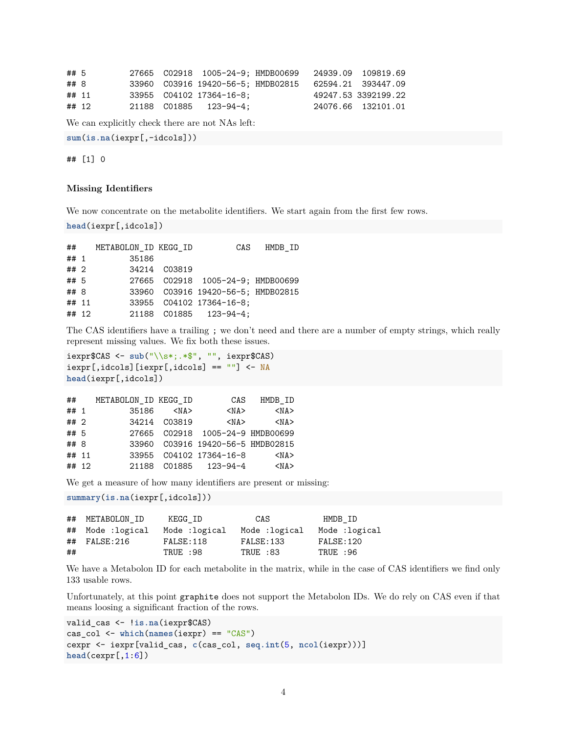```
## 5 27665 C02918 1005-24-9; HMDB00699 24939.09 109819.69
## 8 33960 C03916 19420-56-5; HMDB02815 62594.21 393447.09
## 11 33955 C04102 17364-16-8; 49247.53 3392199.22
## 12 21188 C01885 123-94-4; 24076.66 132101.01
We can explicitly check there are not NAs left:
```
**sum**(**is.na**(iexpr[,-idcols]))

## [1] 0

#### **Missing Identifiers**

We now concentrate on the metabolite identifiers. We start again from the first few rows.

```
head(iexpr[,idcols])
```
## METABOLON\_ID KEGG\_ID CAS HMDB\_ID ## 1 35186 ## 2 34214 C03819 ## 5 27665 C02918 1005-24-9; HMDB00699 ## 8 33960 C03916 19420-56-5; HMDB02815 ## 11 33955 C04102 17364-16-8; ## 12 21188 C01885 123-94-4;

The CAS identifiers have a trailing ; we don't need and there are a number of empty strings, which really represent missing values. We fix both these issues.

```
iexpr$CAS <- sub("\\s*;.*$", "", iexpr$CAS)
iexpr[,idcols][iexpr[,idcols] == ""] <- NA
head(iexpr[,idcols])
```

| ##    |           | CAS                   | HMDB ID                                                                                                                                           |
|-------|-----------|-----------------------|---------------------------------------------------------------------------------------------------------------------------------------------------|
| ## 1  | <na></na> | $<$ NA $>$            | $<$ NA $>$                                                                                                                                        |
| ## 2  |           | $<$ NA $>$            | $<$ NA $>$                                                                                                                                        |
| ## 5  |           |                       |                                                                                                                                                   |
| ## 8  |           |                       |                                                                                                                                                   |
| ## 11 |           |                       | $<$ NA $>$                                                                                                                                        |
| ## 12 |           |                       | $<$ NA $>$                                                                                                                                        |
|       |           | 35186<br>34214 C03819 | METABOLON ID KEGG ID<br>27665 C02918 1005-24-9 HMDB00699<br>33960 C03916 19420-56-5 HMDB02815<br>33955 C04102 17364-16-8<br>21188 C01885 123-94-4 |

We get a measure of how many identifiers are present or missing:

```
summary(is.na(iexpr[,idcols]))
```

|    | ## METABOLON ID   | KEGG ID       | CAS           | HMDB ID       |
|----|-------------------|---------------|---------------|---------------|
|    | ## Mode :logical  | Mode :logical | Mode :logical | Mode :logical |
|    | $\#$ # FALSE: 216 | FALSE:118     | FALSE:133     | FALSE:120     |
| ## |                   | TRUE :98      | TRUE :83      | TRUE :96      |

We have a Metabolon ID for each metabolite in the matrix, while in the case of CAS identifiers we find only 133 usable rows.

Unfortunately, at this point graphite does not support the Metabolon IDs. We do rely on CAS even if that means loosing a significant fraction of the rows.

```
valid_cas <- !is.na(iexpr$CAS)
cas_col <- which(names(iexpr) == "CAS")
cexpr <- iexpr[valid_cas, c(cas_col, seq.int(5, ncol(iexpr)))]
head(cexpr[,1:6])
```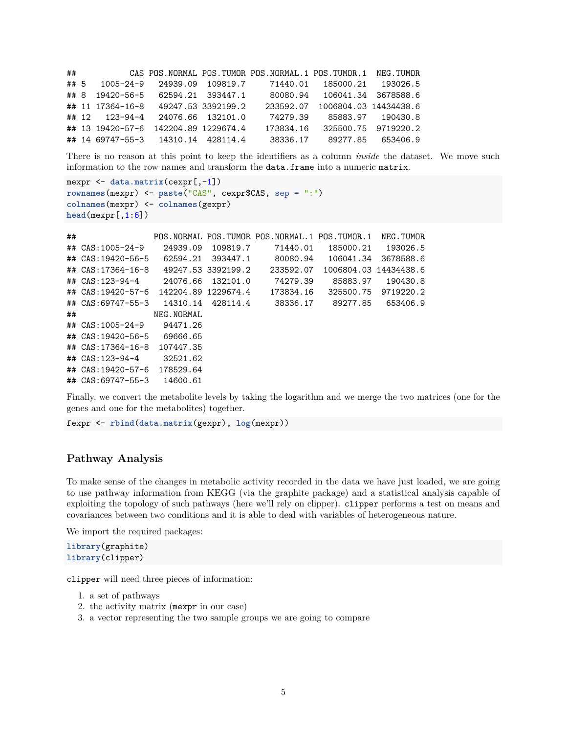| ##   |                                      |  | CAS POS. NORMAL POS. TUMOR POS. NORMAL. 1 POS. TUMOR. 1 NEG. TUMOR |                                 |                     |
|------|--------------------------------------|--|--------------------------------------------------------------------|---------------------------------|---------------------|
| ## 5 | 1005-24-9 24939.09 109819.7          |  |                                                                    | 71440.01  185000.21  193026.5   |                     |
|      | ## 8 19420-56-5 62594.21 393447.1    |  |                                                                    | 80080.94 106041.34 3678588.6    |                     |
|      | ## 11 17364-16-8 49247.53 3392199.2  |  |                                                                    | 233592.07 1006804.03 14434438.6 |                     |
|      | ## 12 123-94-4 24076.66 132101.0     |  | 74279.39                                                           |                                 | 85883.97 190430.8   |
|      | ## 13 19420-57-6 142204.89 1229674.4 |  | 173834.16                                                          |                                 | 325500.75 9719220.2 |
|      | ## 14 69747-55-3 14310.14 428114.4   |  |                                                                    | 38336.17 89277.85 653406.9      |                     |

There is no reason at this point to keep the identifiers as a column *inside* the dataset. We move such information to the row names and transform the data.frame into a numeric matrix.

```
mexpr <- data.matrix(cexpr[,-1])
rownames(mexpr) <- paste("CAS", cexpr$CAS, sep = ":")
colnames(mexpr) <- colnames(gexpr)
head(mexpr[,1:6])
```

```
## POS.NORMAL POS.TUMOR POS.NORMAL.1 POS.TUMOR.1 NEG.TUMOR
## CAS:1005-24-9 24939.09 109819.7 71440.01 185000.21 193026.5
## CAS:19420-56-5 62594.21 393447.1 80080.94 106041.34 3678588.6
## CAS:17364-16-8 49247.53 3392199.2 233592.07 1006804.03 14434438.6
## CAS:123-94-4 24076.66 132101.0 74279.39 85883.97 190430.8
## CAS:19420-57-6 142204.89 1229674.4 173834.16 325500.75 9719220.2
## CAS:69747-55-3 14310.14 428114.4 38336.17 89277.85 653406.9
## NEG.NORMAL
## CAS:1005-24-9 94471.26
## CAS:19420-56-5 69666.65
## CAS:17364-16-8 107447.35
## CAS:123-94-4 32521.62
## CAS:19420-57-6 178529.64
## CAS:69747-55-3 14600.61
```
Finally, we convert the metabolite levels by taking the logarithm and we merge the two matrices (one for the genes and one for the metabolites) together.

fexpr <- **rbind**(**data.matrix**(gexpr), **log**(mexpr))

#### **Pathway Analysis**

To make sense of the changes in metabolic activity recorded in the data we have just loaded, we are going to use pathway information from KEGG (via the [graphite](http://www.bioconductor.org/packages/release/bioc/html/graphite.html) package) and a statistical analysis capable of exploiting the topology of such pathways (here we'll rely on [clipper\)](http://www.bioconductor.org/packages/release/bioc/html/clipper.html). clipper performs a test on means and covariances between two conditions and it is able to deal with variables of heterogeneous nature.

We import the required packages:

```
library(graphite)
library(clipper)
```
clipper will need three pieces of information:

- 1. a set of pathways
- 2. the activity matrix (mexpr in our case)
- 3. a vector representing the two sample groups we are going to compare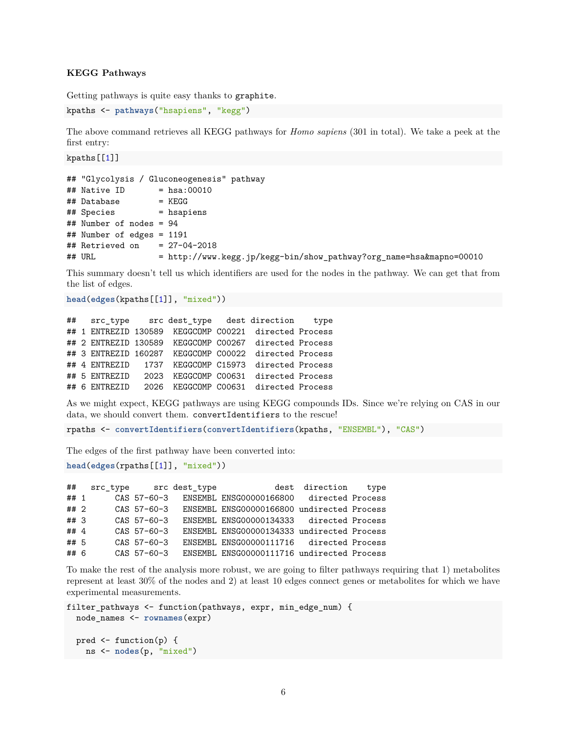#### **KEGG Pathways**

Getting pathways is quite easy thanks to graphite.

```
kpaths <- pathways("hsapiens", "kegg")
```
The above command retrieves all KEGG pathways for *Homo sapiens* (301 in total). We take a peek at the first entry:

kpaths[[1]]

|                                | ## "Glycolysis / Gluconeogenesis" pathway                           |
|--------------------------------|---------------------------------------------------------------------|
| ## Native ID                   | $=$ hsa:00010                                                       |
| ## Database                    | $=$ KEGG                                                            |
| ## Species                     | $=$ hsapiens                                                        |
| ## Number of nodes = $94$      |                                                                     |
| ## Number of edges = 1191      |                                                                     |
| ## Retrieved on = $27-04-2018$ |                                                                     |
| ## URL                         | = http://www.kegg.jp/kegg-bin/show_pathway?org_name=hsa&mapno=00010 |

This summary doesn't tell us which identifiers are used for the nodes in the pathway. We can get that from the list of edges.

```
head(edges(kpaths[[1]], "mixed"))
```

```
## src_type src dest_type dest direction type
## 1 ENTREZID 130589 KEGGCOMP C00221 directed Process
## 2 ENTREZID 130589 KEGGCOMP C00267 directed Process
## 3 ENTREZID 160287 KEGGCOMP C00022 directed Process
## 4 ENTREZID 1737 KEGGCOMP C15973 directed Process
## 5 ENTREZID 2023 KEGGCOMP C00631 directed Process
## 6 ENTREZID 2026 KEGGCOMP C00631 directed Process
```
As we might expect, KEGG pathways are using KEGG compounds IDs. Since we're relying on CAS in our data, we should convert them. convertIdentifiers to the rescue!

rpaths <- **convertIdentifiers**(**convertIdentifiers**(kpaths, "ENSEMBL"), "CAS")

The edges of the first pathway have been converted into:

```
head(edges(rpaths[[1]], "mixed"))
```
## src\_type src dest\_type dest direction type ## 1 CAS 57-60-3 ENSEMBL ENSG00000166800 directed Process ## 2 CAS 57-60-3 ENSEMBL ENSG00000166800 undirected Process ## 3 CAS 57-60-3 ENSEMBL ENSG00000134333 directed Process ## 4 CAS 57-60-3 ENSEMBL ENSG00000134333 undirected Process ## 5 CAS 57-60-3 ENSEMBL ENSG00000111716 directed Process ## 6 CAS 57-60-3 ENSEMBL ENSG00000111716 undirected Process

To make the rest of the analysis more robust, we are going to filter pathways requiring that 1) metabolites represent at least 30% of the nodes and 2) at least 10 edges connect genes or metabolites for which we have experimental measurements.

```
filter_pathways <- function(pathways, expr, min_edge_num) {
 node_names <- rownames(expr)
```

```
pred \leq function(p) {
  ns <- nodes(p, "mixed")
```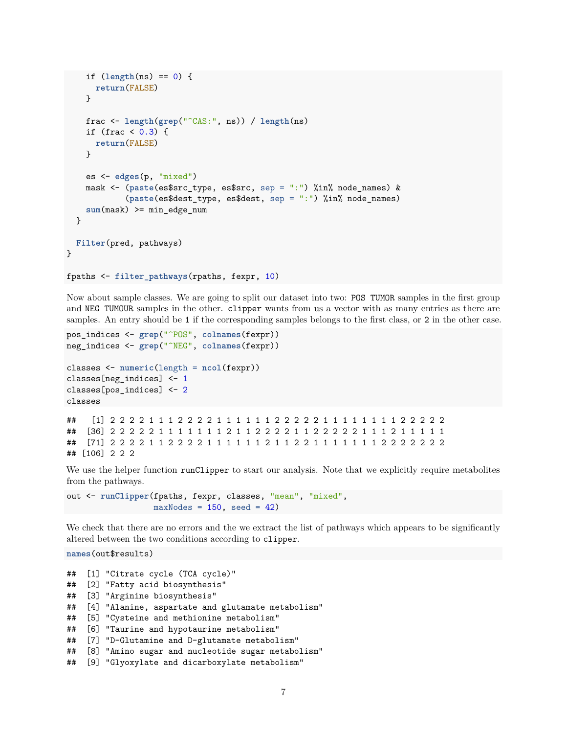```
if (length(ns) == 0) {
      return(FALSE)
   }
   frac <- length(grep("^CAS:", ns)) / length(ns)
    if (frac < 0.3) {
      return(FALSE)
   }
   es <- edges(p, "mixed")
   mask <- (paste(es$src_type, es$src, sep = ":") %in% node_names) &
            (paste(es$dest_type, es$dest, sep = ":") %in% node_names)
    sum(mask) >= min_edge_num
  }
 Filter(pred, pathways)
}
fpaths <- filter_pathways(rpaths, fexpr, 10)
```
Now about sample classes. We are going to split our dataset into two: POS TUMOR samples in the first group and NEG TUMOUR samples in the other. clipper wants from us a vector with as many entries as there are samples. An entry should be 1 if the corresponding samples belongs to the first class, or 2 in the other case.

```
pos_indices <- grep("^POS", colnames(fexpr))
neg_indices <- grep("^NEG", colnames(fexpr))
```

```
classes <- numeric(length = ncol(fexpr))
classes[neg_indices] <- 1
classes[pos_indices] <- 2
classes
```
## [1] 2 2 2 2 1 1 1 2 2 2 2 1 1 1 1 1 1 2 2 2 2 2 1 1 1 1 1 1 1 1 2 2 2 2 2 ## [36] 2 2 2 2 2 1 1 1 1 1 1 1 2 1 1 2 2 2 2 1 1 2 2 2 2 2 1 1 1 2 1 1 1 1 1 ## [71] 2 2 2 2 1 1 2 2 2 2 1 1 1 1 1 1 2 1 1 2 2 1 1 1 1 1 1 1 2 2 2 2 2 2 2 ## [106] 2 2 2

We use the helper function runClipper to start our analysis. Note that we explicitly require metabolites from the pathways.

```
out <- runClipper(fpaths, fexpr, classes, "mean", "mixed",
                  maxNodes = 150, seed = 42)
```
We check that there are no errors and the we extract the list of pathways which appears to be significantly altered between the two conditions according to clipper.

**names**(out\$results)

```
## [1] "Citrate cycle (TCA cycle)"
## [2] "Fatty acid biosynthesis"
## [3] "Arginine biosynthesis"
## [4] "Alanine, aspartate and glutamate metabolism"
## [5] "Cysteine and methionine metabolism"
## [6] "Taurine and hypotaurine metabolism"
## [7] "D-Glutamine and D-glutamate metabolism"
## [8] "Amino sugar and nucleotide sugar metabolism"
## [9] "Glyoxylate and dicarboxylate metabolism"
```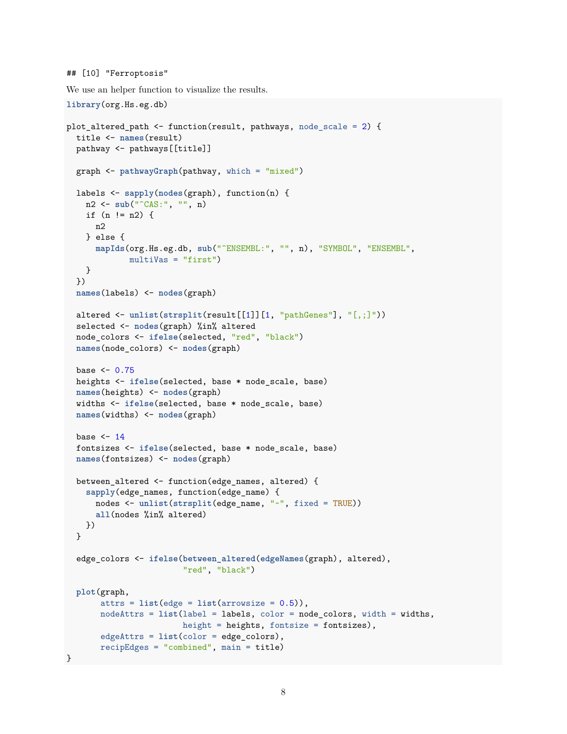```
## [10] "Ferroptosis"
```
We use an helper function to visualize the results.

```
library(org.Hs.eg.db)
plot_altered_path <- function(result, pathways, node_scale = 2) {
 title <- names(result)
 pathway <- pathways[[title]]
 graph <- pathwayGraph(pathway, which = "mixed")
 labels <- sapply(nodes(graph), function(n) {
   n2 <- sub("^CAS:", "", n)
   if (n != n2) {
     n2
   } else {
     mapIds(org.Hs.eg.db, sub("^ENSEMBL:", "", n), "SYMBOL", "ENSEMBL",
             multiVas = "first")
   }
  })
  names(labels) <- nodes(graph)
  altered <- unlist(strsplit(result[[1]][1, "pathGenes"], "[,;]"))
  selected <- nodes(graph) %in% altered
  node_colors <- ifelse(selected, "red", "black")
 names(node_colors) <- nodes(graph)
 base <-0.75heights <- ifelse(selected, base * node_scale, base)
 names(heights) <- nodes(graph)
  widths <- ifelse(selected, base * node_scale, base)
 names(widths) <- nodes(graph)
 base <-14fontsizes <- ifelse(selected, base * node_scale, base)
  names(fontsizes) <- nodes(graph)
 between_altered <- function(edge_names, altered) {
   sapply(edge_names, function(edge_name) {
     nodes <- unlist(strsplit(edge_name, "~", fixed = TRUE))
     all(nodes %in% altered)
   })
  }
  edge_colors <- ifelse(between_altered(edgeNames(graph), altered),
                        "red", "black")
 plot(graph,
       attrs = list(edge = list(arrowsize = 0.5)),
      nodeAttrs = list(label = labels, color = node_colors, width = widths,
                        height = heights, fontsize = fontsizes),
      edgeAttrs = list(color = edge_colors),
      recipEdges = "combined", main = title)
}
```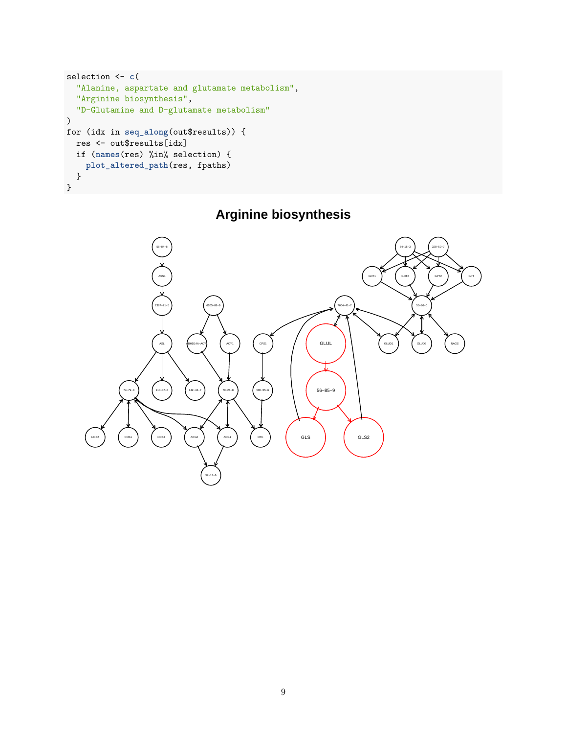```
selection <- c(
  "Alanine, aspartate and glutamate metabolism",
  "Arginine biosynthesis",
  "D-Glutamine and D-glutamate metabolism"
\lambdafor (idx in seq_along(out$results)) {
  res <- out$results[idx]
  if (names(res) %in% selection) {
    plot_altered_path(res, fpaths)
  }
}
```
## **Arginine biosynthesis**

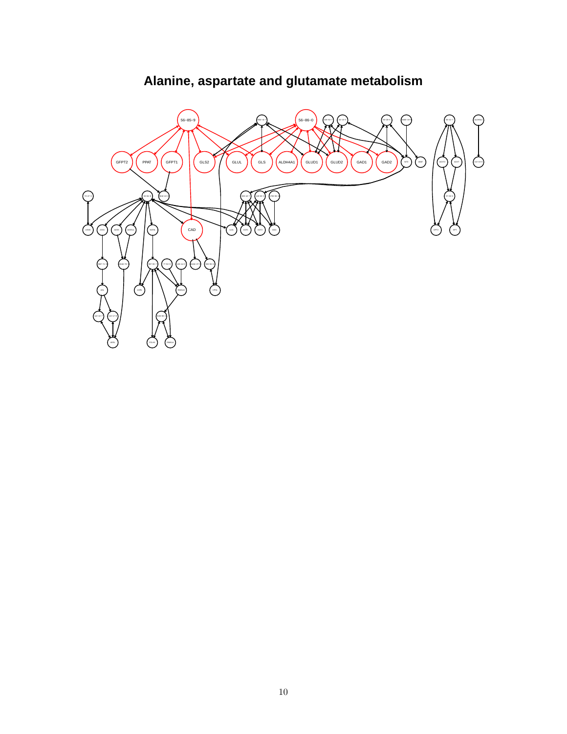

# **Alanine, aspartate and glutamate metabolism**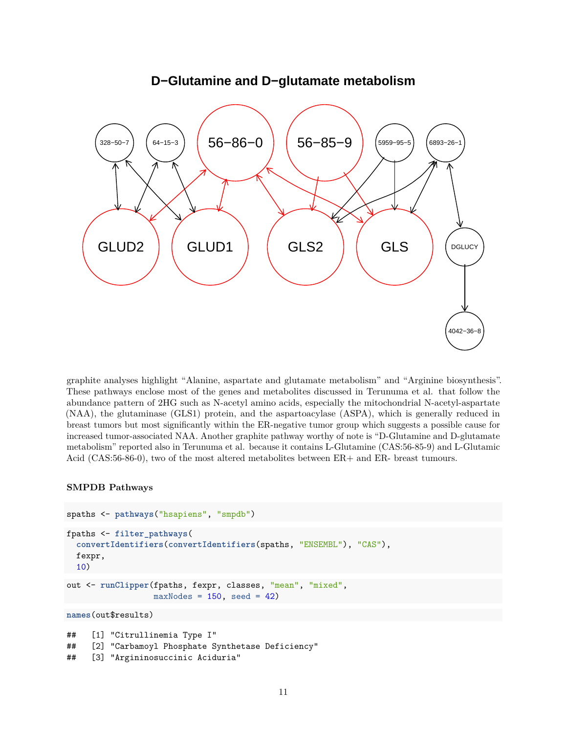

### **D−Glutamine and D−glutamate metabolism**

graphite analyses highlight "Alanine, aspartate and glutamate metabolism" and "Arginine biosynthesis". These pathways enclose most of the genes and metabolites discussed in Terunuma et al. that follow the abundance pattern of 2HG such as N-acetyl amino acids, especially the mitochondrial N-acetyl-aspartate (NAA), the glutaminase (GLS1) protein, and the aspartoacylase (ASPA), which is generally reduced in breast tumors but most significantly within the ER-negative tumor group which suggests a possible cause for increased tumor-associated NAA. Another graphite pathway worthy of note is "D-Glutamine and D-glutamate metabolism" reported also in Terunuma et al. because it contains L-Glutamine (CAS:56-85-9) and L-Glutamic Acid (CAS:56-86-0), two of the most altered metabolites between ER+ and ER- breast tumours.

#### **SMPDB Pathways**

```
spaths <- pathways("hsapiens", "smpdb")
fpaths <- filter_pathways(
  convertIdentifiers(convertIdentifiers(spaths, "ENSEMBL"), "CAS"),
  fexpr,
  10)
out <- runClipper(fpaths, fexpr, classes, "mean", "mixed",
                  maxNodes = 150, seed = 42)
names(out$results)
## [1] "Citrullinemia Type I"
## [2] "Carbamoyl Phosphate Synthetase Deficiency"
```
<sup>## [3] &</sup>quot;Argininosuccinic Aciduria"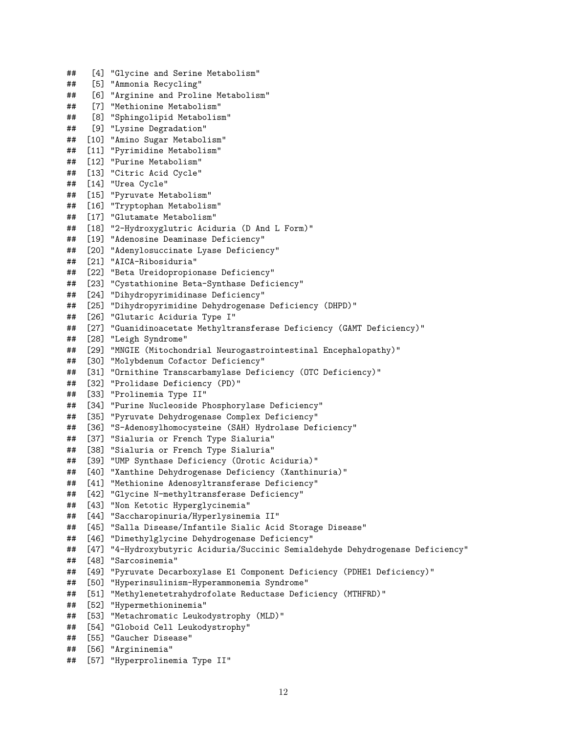## [4] "Glycine and Serine Metabolism" ## [5] "Ammonia Recycling" ## [6] "Arginine and Proline Metabolism" ## [7] "Methionine Metabolism" ## [8] "Sphingolipid Metabolism" ## [9] "Lysine Degradation" ## [10] "Amino Sugar Metabolism" ## [11] "Pyrimidine Metabolism" ## [12] "Purine Metabolism" ## [13] "Citric Acid Cycle" ## [14] "Urea Cycle" ## [15] "Pyruvate Metabolism" ## [16] "Tryptophan Metabolism" ## [17] "Glutamate Metabolism" ## [18] "2-Hydroxyglutric Aciduria (D And L Form)" ## [19] "Adenosine Deaminase Deficiency" ## [20] "Adenylosuccinate Lyase Deficiency" ## [21] "AICA-Ribosiduria" ## [22] "Beta Ureidopropionase Deficiency" ## [23] "Cystathionine Beta-Synthase Deficiency" ## [24] "Dihydropyrimidinase Deficiency" ## [25] "Dihydropyrimidine Dehydrogenase Deficiency (DHPD)" ## [26] "Glutaric Aciduria Type I" ## [27] "Guanidinoacetate Methyltransferase Deficiency (GAMT Deficiency)" ## [28] "Leigh Syndrome" ## [29] "MNGIE (Mitochondrial Neurogastrointestinal Encephalopathy)" ## [30] "Molybdenum Cofactor Deficiency" ## [31] "Ornithine Transcarbamylase Deficiency (OTC Deficiency)" ## [32] "Prolidase Deficiency (PD)" ## [33] "Prolinemia Type II" ## [34] "Purine Nucleoside Phosphorylase Deficiency" ## [35] "Pyruvate Dehydrogenase Complex Deficiency" ## [36] "S-Adenosylhomocysteine (SAH) Hydrolase Deficiency" ## [37] "Sialuria or French Type Sialuria" ## [38] "Sialuria or French Type Sialuria" ## [39] "UMP Synthase Deficiency (Orotic Aciduria)" ## [40] "Xanthine Dehydrogenase Deficiency (Xanthinuria)" ## [41] "Methionine Adenosyltransferase Deficiency" ## [42] "Glycine N-methyltransferase Deficiency" ## [43] "Non Ketotic Hyperglycinemia" ## [44] "Saccharopinuria/Hyperlysinemia II" ## [45] "Salla Disease/Infantile Sialic Acid Storage Disease" ## [46] "Dimethylglycine Dehydrogenase Deficiency" ## [47] "4-Hydroxybutyric Aciduria/Succinic Semialdehyde Dehydrogenase Deficiency" ## [48] "Sarcosinemia" ## [49] "Pyruvate Decarboxylase E1 Component Deficiency (PDHE1 Deficiency)" ## [50] "Hyperinsulinism-Hyperammonemia Syndrome" ## [51] "Methylenetetrahydrofolate Reductase Deficiency (MTHFRD)" ## [52] "Hypermethioninemia" ## [53] "Metachromatic Leukodystrophy (MLD)" ## [54] "Globoid Cell Leukodystrophy" ## [55] "Gaucher Disease" ## [56] "Argininemia" ## [57] "Hyperprolinemia Type II"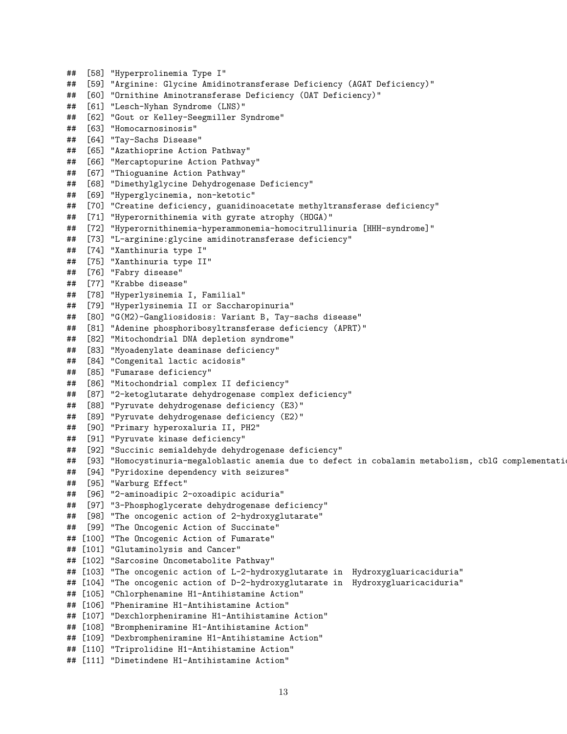```
## [58] "Hyperprolinemia Type I"
## [59] "Arginine: Glycine Amidinotransferase Deficiency (AGAT Deficiency)"
## [60] "Ornithine Aminotransferase Deficiency (OAT Deficiency)"
## [61] "Lesch-Nyhan Syndrome (LNS)"
## [62] "Gout or Kelley-Seegmiller Syndrome"
## [63] "Homocarnosinosis"
## [64] "Tay-Sachs Disease"
## [65] "Azathioprine Action Pathway"
## [66] "Mercaptopurine Action Pathway"
## [67] "Thioguanine Action Pathway"
## [68] "Dimethylglycine Dehydrogenase Deficiency"
## [69] "Hyperglycinemia, non-ketotic"
## [70] "Creatine deficiency, guanidinoacetate methyltransferase deficiency"
## [71] "Hyperornithinemia with gyrate atrophy (HOGA)"
## [72] "Hyperornithinemia-hyperammonemia-homocitrullinuria [HHH-syndrome]"
## [73] "L-arginine:glycine amidinotransferase deficiency"
## [74] "Xanthinuria type I"
## [75] "Xanthinuria type II"
## [76] "Fabry disease"
## [77] "Krabbe disease"
## [78] "Hyperlysinemia I, Familial"
## [79] "Hyperlysinemia II or Saccharopinuria"
## [80] "G(M2)-Gangliosidosis: Variant B, Tay-sachs disease"
## [81] "Adenine phosphoribosyltransferase deficiency (APRT)"
## [82] "Mitochondrial DNA depletion syndrome"
## [83] "Myoadenylate deaminase deficiency"
## [84] "Congenital lactic acidosis"
## [85] "Fumarase deficiency"
## [86] "Mitochondrial complex II deficiency"
## [87] "2-ketoglutarate dehydrogenase complex deficiency"
## [88] "Pyruvate dehydrogenase deficiency (E3)"
## [89] "Pyruvate dehydrogenase deficiency (E2)"
## [90] "Primary hyperoxaluria II, PH2"
## [91] "Pyruvate kinase deficiency"
## [92] "Succinic semialdehyde dehydrogenase deficiency"
## [93] "Homocystinuria-megaloblastic anemia due to defect in cobalamin metabolism, cblG complementati
## [94] "Pyridoxine dependency with seizures"
## [95] "Warburg Effect"
## [96] "2-aminoadipic 2-oxoadipic aciduria"
## [97] "3-Phosphoglycerate dehydrogenase deficiency"
## [98] "The oncogenic action of 2-hydroxyglutarate"
## [99] "The Oncogenic Action of Succinate"
## [100] "The Oncogenic Action of Fumarate"
## [101] "Glutaminolysis and Cancer"
## [102] "Sarcosine Oncometabolite Pathway"
## [103] "The oncogenic action of L-2-hydroxyglutarate in Hydroxygluaricaciduria"
## [104] "The oncogenic action of D-2-hydroxyglutarate in Hydroxygluaricaciduria"
## [105] "Chlorphenamine H1-Antihistamine Action"
## [106] "Pheniramine H1-Antihistamine Action"
## [107] "Dexchlorpheniramine H1-Antihistamine Action"
## [108] "Brompheniramine H1-Antihistamine Action"
## [109] "Dexbrompheniramine H1-Antihistamine Action"
## [110] "Triprolidine H1-Antihistamine Action"
## [111] "Dimetindene H1-Antihistamine Action"
```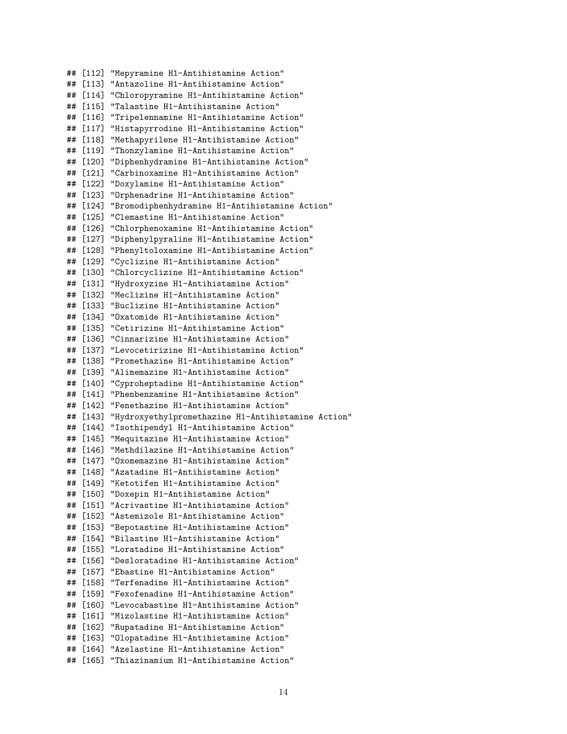## [112] "Mepyramine H1-Antihistamine Action" ## [113] "Antazoline H1-Antihistamine Action" ## [114] "Chloropyramine H1-Antihistamine Action" ## [115] "Talastine H1-Antihistamine Action" ## [116] "Tripelennamine H1-Antihistamine Action" ## [117] "Histapyrrodine H1-Antihistamine Action" ## [118] "Methapyrilene H1-Antihistamine Action" ## [119] "Thonzylamine H1-Antihistamine Action" ## [120] "Diphenhydramine H1-Antihistamine Action" ## [121] "Carbinoxamine H1-Antihistamine Action" ## [122] "Doxylamine H1-Antihistamine Action" ## [123] "Orphenadrine H1-Antihistamine Action" ## [124] "Bromodiphenhydramine H1-Antihistamine Action" ## [125] "Clemastine H1-Antihistamine Action" ## [126] "Chlorphenoxamine H1-Antihistamine Action" ## [127] "Diphenylpyraline H1-Antihistamine Action" ## [128] "Phenyltoloxamine H1-Antihistamine Action" ## [129] "Cyclizine H1-Antihistamine Action" ## [130] "Chlorcyclizine H1-Antihistamine Action" ## [131] "Hydroxyzine H1-Antihistamine Action" ## [132] "Meclizine H1-Antihistamine Action" ## [133] "Buclizine H1-Antihistamine Action" ## [134] "Oxatomide H1-Antihistamine Action" ## [135] "Cetirizine H1-Antihistamine Action" ## [136] "Cinnarizine H1-Antihistamine Action" ## [137] "Levocetirizine H1-Antihistamine Action" ## [138] "Promethazine H1-Antihistamine Action" ## [139] "Alimemazine H1-Antihistamine Action" ## [140] "Cyproheptadine H1-Antihistamine Action" ## [141] "Phenbenzamine H1-Antihistamine Action" ## [142] "Fenethazine H1-Antihistamine Action" ## [143] "Hydroxyethylpromethazine H1-Antihistamine Action" ## [144] "Isothipendyl H1-Antihistamine Action" ## [145] "Mequitazine H1-Antihistamine Action" ## [146] "Methdilazine H1-Antihistamine Action" ## [147] "Oxomemazine H1-Antihistamine Action" ## [148] "Azatadine H1-Antihistamine Action" ## [149] "Ketotifen H1-Antihistamine Action" ## [150] "Doxepin H1-Antihistamine Action" ## [151] "Acrivastine H1-Antihistamine Action" ## [152] "Astemizole H1-Antihistamine Action" ## [153] "Bepotastine H1-Antihistamine Action" ## [154] "Bilastine H1-Antihistamine Action" ## [155] "Loratadine H1-Antihistamine Action" ## [156] "Desloratadine H1-Antihistamine Action" ## [157] "Ebastine H1-Antihistamine Action" ## [158] "Terfenadine H1-Antihistamine Action" ## [159] "Fexofenadine H1-Antihistamine Action" ## [160] "Levocabastine H1-Antihistamine Action" ## [161] "Mizolastine H1-Antihistamine Action" ## [162] "Rupatadine H1-Antihistamine Action" ## [163] "Olopatadine H1-Antihistamine Action" ## [164] "Azelastine H1-Antihistamine Action" ## [165] "Thiazinamium H1-Antihistamine Action"